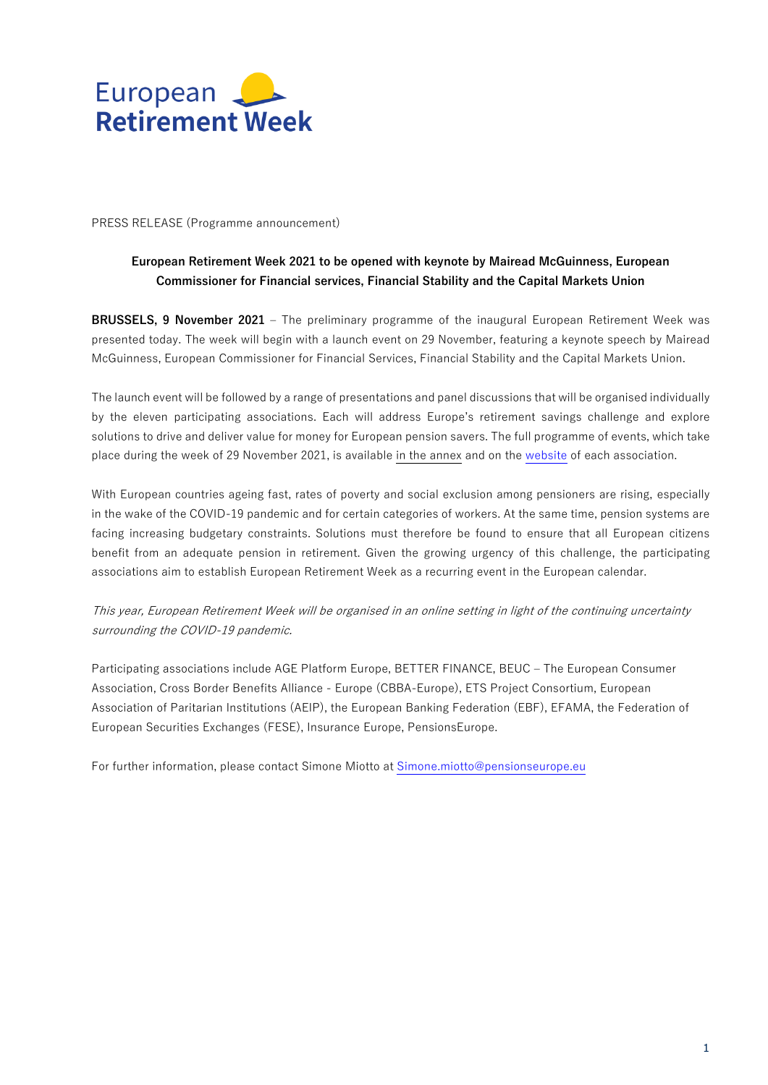

PRESS RELEASE (Programme announcement)

## **European Retirement Week 2021 to be opened with keynote by Mairead McGuinness, European Commissioner for Financial services, Financial Stability and the Capital Markets Union**

**BRUSSELS, 9 November 2021** – The preliminary programme of the inaugural European Retirement Week was presented today. The week will begin with a launch event on 29 November, featuring a keynote speech by Mairead McGuinness, European Commissioner for Financial Services, Financial Stability and the Capital Markets Union.

The launch event will be followed by a range of presentations and panel discussions that will be organised individually by the eleven participating associations. Each will address Europe's retirement savings challenge and explore solutions to drive and deliver value for money for European pension savers. The full programme of events, which take place during the week of 29 November 2021, is available in the annex and on the [website](https://www.pensionseurope.eu/pensionseurope-webinar-investing-future-european-retirement-week) of each association.

With European countries ageing fast, rates of poverty and social exclusion among pensioners are rising, especially in the wake of the COVID-19 pandemic and for certain categories of workers. At the same time, pension systems are facing increasing budgetary constraints. Solutions must therefore be found to ensure that all European citizens benefit from an adequate pension in retirement. Given the growing urgency of this challenge, the participating associations aim to establish European Retirement Week as a recurring event in the European calendar.

This year, European Retirement Week will be organised in an online setting in light of the continuing uncertainty surrounding the COVID-19 pandemic.

Participating associations include AGE Platform Europe, BETTER FINANCE, BEUC – The European Consumer Association, Cross Border Benefits Alliance - Europe (CBBA-Europe), ETS Project Consortium, European Association of Paritarian Institutions (AEIP), the European Banking Federation (EBF), EFAMA, the Federation of European Securities Exchanges (FESE), Insurance Europe, PensionsEurope.

For further information, please contact Simone Miotto at [Simone.miotto@pensionseurope.eu](mailto:Simone.miotto@pensionseurope.eu)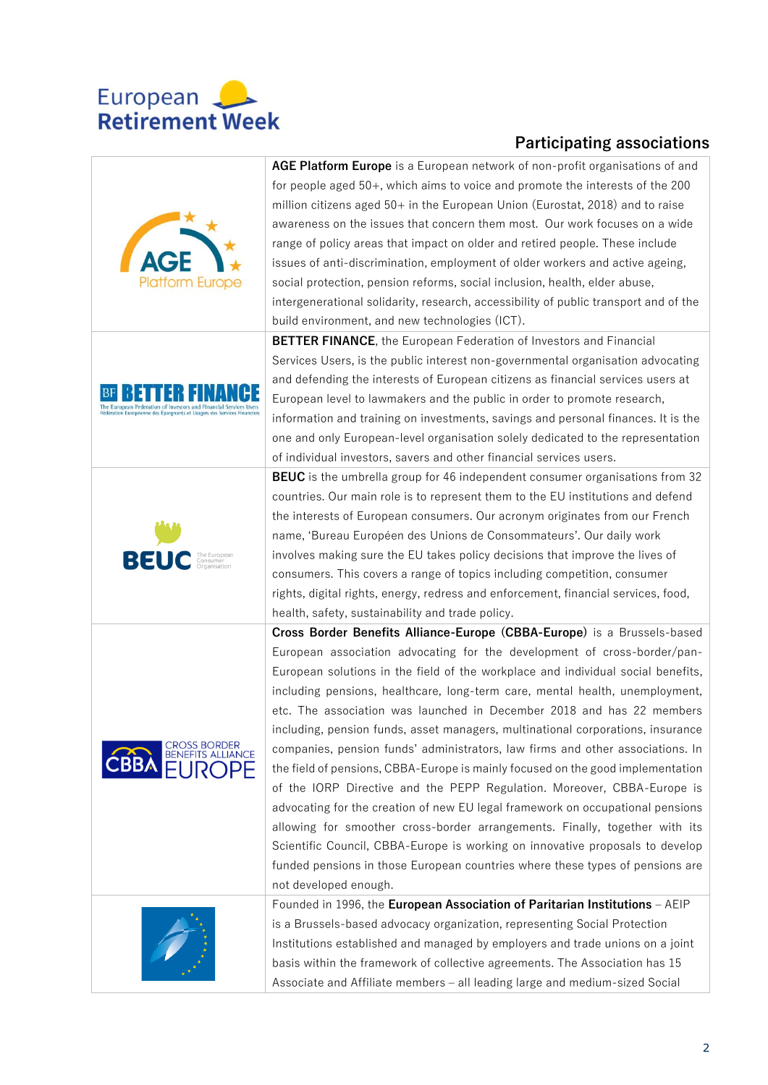

## **Participating associations**

| <b>Platform Europe</b>                   | AGE Platform Europe is a European network of non-profit organisations of and<br>for people aged 50+, which aims to voice and promote the interests of the 200<br>million citizens aged 50+ in the European Union (Eurostat, 2018) and to raise<br>awareness on the issues that concern them most. Our work focuses on a wide<br>range of policy areas that impact on older and retired people. These include<br>issues of anti-discrimination, employment of older workers and active ageing,<br>social protection, pension reforms, social inclusion, health, elder abuse,<br>intergenerational solidarity, research, accessibility of public transport and of the<br>build environment, and new technologies (ICT).                                                                                                                                                                                                                                                                                                                                                                           |
|------------------------------------------|-------------------------------------------------------------------------------------------------------------------------------------------------------------------------------------------------------------------------------------------------------------------------------------------------------------------------------------------------------------------------------------------------------------------------------------------------------------------------------------------------------------------------------------------------------------------------------------------------------------------------------------------------------------------------------------------------------------------------------------------------------------------------------------------------------------------------------------------------------------------------------------------------------------------------------------------------------------------------------------------------------------------------------------------------------------------------------------------------|
|                                          | <b>BETTER FINANCE</b> , the European Federation of Investors and Financial<br>Services Users, is the public interest non-governmental organisation advocating<br>and defending the interests of European citizens as financial services users at<br>European level to lawmakers and the public in order to promote research,<br>information and training on investments, savings and personal finances. It is the<br>one and only European-level organisation solely dedicated to the representation<br>of individual investors, savers and other financial services users.                                                                                                                                                                                                                                                                                                                                                                                                                                                                                                                     |
| BEU                                      | <b>BEUC</b> is the umbrella group for 46 independent consumer organisations from 32<br>countries. Our main role is to represent them to the EU institutions and defend<br>the interests of European consumers. Our acronym originates from our French<br>name, 'Bureau Européen des Unions de Consommateurs'. Our daily work<br>involves making sure the EU takes policy decisions that improve the lives of<br>consumers. This covers a range of topics including competition, consumer<br>rights, digital rights, energy, redress and enforcement, financial services, food,<br>health, safety, sustainability and trade policy.                                                                                                                                                                                                                                                                                                                                                                                                                                                              |
| CROSS BORDER<br><b>BENEFITS ALLIANCE</b> | Cross Border Benefits Alliance-Europe (CBBA-Europe) is a Brussels-based<br>European association advocating for the development of cross-border/pan-<br>European solutions in the field of the workplace and individual social benefits,<br>including pensions, healthcare, long-term care, mental health, unemployment,<br>etc. The association was launched in December 2018 and has 22 members<br>including, pension funds, asset managers, multinational corporations, insurance<br>companies, pension funds' administrators, law firms and other associations. In<br>the field of pensions, CBBA-Europe is mainly focused on the good implementation<br>of the IORP Directive and the PEPP Regulation. Moreover, CBBA-Europe is<br>advocating for the creation of new EU legal framework on occupational pensions<br>allowing for smoother cross-border arrangements. Finally, together with its<br>Scientific Council, CBBA-Europe is working on innovative proposals to develop<br>funded pensions in those European countries where these types of pensions are<br>not developed enough. |
|                                          | Founded in 1996, the European Association of Paritarian Institutions - AEIP<br>is a Brussels-based advocacy organization, representing Social Protection<br>Institutions established and managed by employers and trade unions on a joint<br>basis within the framework of collective agreements. The Association has 15<br>Associate and Affiliate members - all leading large and medium-sized Social                                                                                                                                                                                                                                                                                                                                                                                                                                                                                                                                                                                                                                                                                         |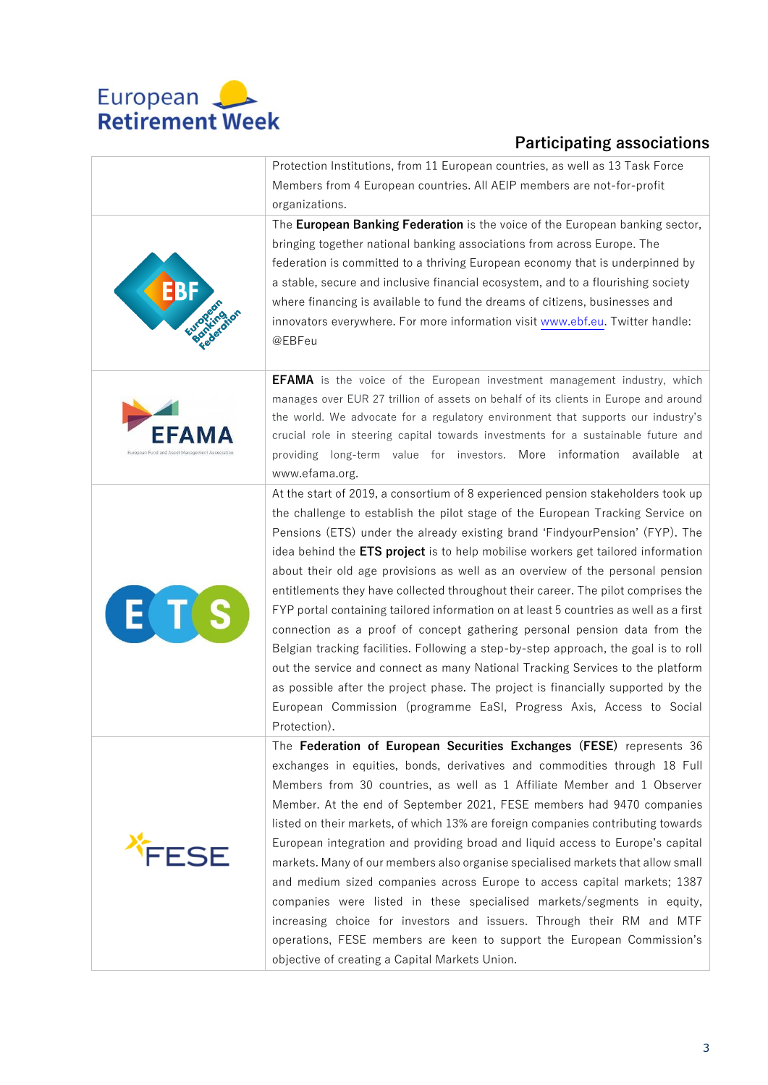

**FFAMA** 

**FSF** 

E

## **Participating associations**

Protection Institutions, from 11 European countries, as well as 13 Task Force Members from 4 European countries. All AEIP members are not-for-profit organizations.

The **European Banking Federation** is the voice of the European banking sector, bringing together national banking associations from across Europe. The federation is committed to a thriving European economy that is underpinned by a stable, secure and inclusive financial ecosystem, and to a flourishing society where financing is available to fund the dreams of citizens, businesses and innovators everywhere. For more information visit [www.ebf.eu.](http://www.ebf.eu/) Twitter handle: @EBFeu

**EFAMA** is the voice of the European investment management industry, which manages over EUR 27 trillion of assets on behalf of its clients in Europe and around the world. We advocate for a regulatory environment that supports our industry's crucial role in steering capital towards investments for a sustainable future and providing long-term value for investors. More information available at www.efama.org.

At the start of 2019, a consortium of 8 experienced pension stakeholders took up the challenge to establish the pilot stage of the European Tracking Service on Pensions (ETS) under the already existing brand 'FindyourPension' (FYP). The idea behind the **ETS project** is to help mobilise workers get tailored information about their old age provisions as well as an overview of the personal pension entitlements they have collected throughout their career. The pilot comprises the FYP portal containing tailored information on at least 5 countries as well as a first connection as a proof of concept gathering personal pension data from the Belgian tracking facilities. Following a step-by-step approach, the goal is to roll out the service and connect as many National Tracking Services to the platform as possible after the project phase. The project is financially supported by the European Commission (programme EaSI, Progress Axis, Access to Social Protection).

The **Federation of European Securities Exchanges (FESE)** represents 36 exchanges in equities, bonds, derivatives and commodities through 18 Full Members from 30 countries, as well as 1 Affiliate Member and 1 Observer Member. At the end of September 2021, FESE members had 9470 companies listed on their markets, of which 13% are foreign companies contributing towards European integration and providing broad and liquid access to Europe's capital markets. Many of our members also organise specialised markets that allow small and medium sized companies across Europe to access capital markets; 1387 companies were listed in these specialised markets/segments in equity, increasing choice for investors and issuers. Through their RM and MTF operations, FESE members are keen to support the European Commission's objective of creating a Capital Markets Union.